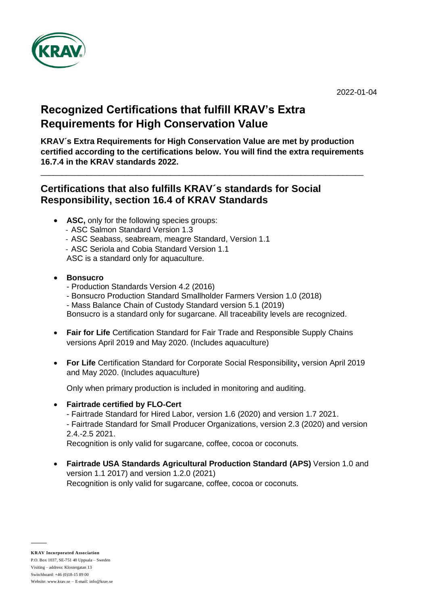

## **Recognized Certifications that fulfill KRAV's Extra Requirements for High Conservation Value**

**KRAV´s Extra Requirements for High Conservation Value are met by production certified according to the certifications below. You will find the extra requirements 16.7.4 in the KRAV standards 2022.** 

 $\_$  ,  $\_$  ,  $\_$  ,  $\_$  ,  $\_$  ,  $\_$  ,  $\_$  ,  $\_$  ,  $\_$  ,  $\_$  ,  $\_$  ,  $\_$  ,  $\_$  ,  $\_$  ,  $\_$  ,  $\_$  ,  $\_$  ,  $\_$  ,  $\_$  ,  $\_$  ,  $\_$  ,  $\_$  ,  $\_$  ,  $\_$  ,  $\_$  ,  $\_$  ,  $\_$  ,  $\_$  ,  $\_$  ,  $\_$  ,  $\_$  ,  $\_$  ,  $\_$  ,  $\_$  ,  $\_$  ,  $\_$  ,  $\_$  ,

## **Certifications that also fulfills KRAV´s standards for Social Responsibility, section 16.4 of KRAV Standards**

- **ASC,** only for the following species groups:
	- ASC Salmon Standard Version 1.3
	- ASC Seabass, seabream, meagre Standard, Version 1.1
	- ASC Seriola and Cobia Standard Version 1.1
	- ASC is a standard only for aquaculture.
- **Bonsucro**
	- Production Standards Version 4.2 (2016)
	- Bonsucro Production Standard Smallholder Farmers Version 1.0 (2018) - Mass Balance Chain of Custody Standard version 5.1 (2019)

Bonsucro is a standard only for sugarcane. All traceability levels are recognized.

- **Fair for Life** Certification Standard for Fair Trade and Responsible Supply Chains versions April 2019 and May 2020. (Includes aquaculture)
- **For Life** Certification Standard for Corporate Social Responsibility**,** version April 2019 and May 2020. (Includes aquaculture)

Only when primary production is included in monitoring and auditing.

• **Fairtrade certified by FLO**‐**Cert**

- Fairtrade Standard for Hired Labor, version 1.6 (2020) and version 1.7 2021. - Fairtrade Standard for Small Producer Organizations, version 2.3 (2020) and version 2.4.-2.5 2021.

Recognition is only valid for sugarcane, coffee, cocoa or coconuts.

• **Fairtrade USA Standards Agricultural Production Standard (APS)** Version 1.0 and version 1.1 2017) and version 1.2.0 (2021) Recognition is only valid for sugarcane, coffee, cocoa or coconuts.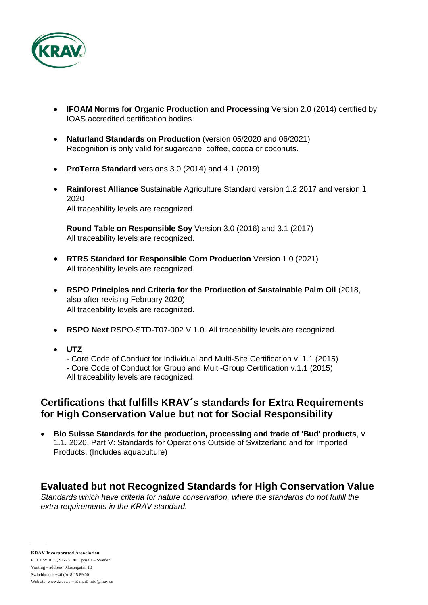

- **IFOAM Norms for Organic Production and Processing** Version 2.0 (2014) certified by IOAS accredited certification bodies.
- **Naturland Standards on Production** (version 05/2020 and 06/2021) Recognition is only valid for sugarcane, coffee, cocoa or coconuts.
- **ProTerra Standard** versions 3.0 (2014) and 4.1 (2019)
- **Rainforest Alliance** Sustainable Agriculture Standard version 1.2 2017 and version 1 2020 All traceability levels are recognized.

**Round Table on Responsible Soy** Version 3.0 (2016) and 3.1 (2017) All traceability levels are recognized.

- **RTRS Standard for Responsible Corn Production** Version 1.0 (2021) All traceability levels are recognized.
- **RSPO Principles and Criteria for the Production of Sustainable Palm Oil** (2018, also after revising February 2020) All traceability levels are recognized.
- **RSPO Next** RSPO-STD-T07-002 V 1.0. All traceability levels are recognized.
- **UTZ**
	- Core Code of Conduct for Individual and Multi-Site Certification v. 1.1 (2015)

- Core Code of Conduct for Group and Multi-Group Certification v.1.1 (2015) All traceability levels are recognized

## **Certifications that fulfills KRAV´s standards for Extra Requirements**

- **for High Conservation Value but not for Social Responsibility** • **Bio Suisse Standards for the production, processing and trade of 'Bud' products**, v
- 1.1. 2020, Part V: Standards for Operations Outside of Switzerland and for Imported Products. (Includes aquaculture)

## **Evaluated but not Recognized Standards for High Conservation Value**

*Standards which have criteria for nature conservation, where the standards do not fulfill the extra requirements in the KRAV standard.*